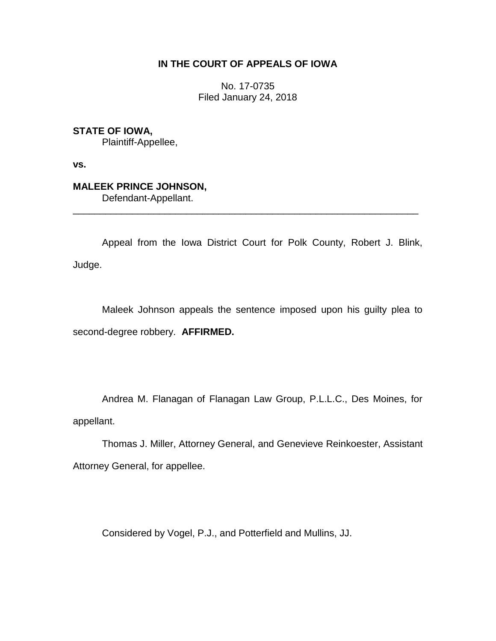## **IN THE COURT OF APPEALS OF IOWA**

No. 17-0735 Filed January 24, 2018

**STATE OF IOWA,**

Plaintiff-Appellee,

**vs.**

## **MALEEK PRINCE JOHNSON,**

Defendant-Appellant.

Appeal from the Iowa District Court for Polk County, Robert J. Blink, Judge.

\_\_\_\_\_\_\_\_\_\_\_\_\_\_\_\_\_\_\_\_\_\_\_\_\_\_\_\_\_\_\_\_\_\_\_\_\_\_\_\_\_\_\_\_\_\_\_\_\_\_\_\_\_\_\_\_\_\_\_\_\_\_\_\_

Maleek Johnson appeals the sentence imposed upon his guilty plea to second-degree robbery. **AFFIRMED.** 

Andrea M. Flanagan of Flanagan Law Group, P.L.L.C., Des Moines, for appellant.

Thomas J. Miller, Attorney General, and Genevieve Reinkoester, Assistant Attorney General, for appellee.

Considered by Vogel, P.J., and Potterfield and Mullins, JJ.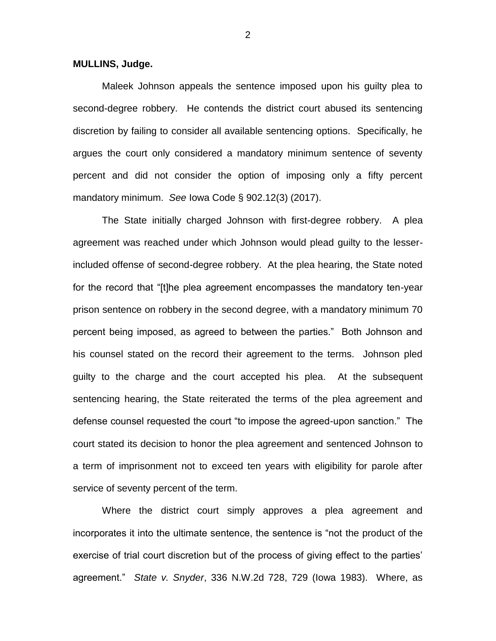**MULLINS, Judge.**

Maleek Johnson appeals the sentence imposed upon his guilty plea to second-degree robbery. He contends the district court abused its sentencing discretion by failing to consider all available sentencing options. Specifically, he argues the court only considered a mandatory minimum sentence of seventy percent and did not consider the option of imposing only a fifty percent mandatory minimum. *See* Iowa Code § 902.12(3) (2017).

The State initially charged Johnson with first-degree robbery. A plea agreement was reached under which Johnson would plead guilty to the lesserincluded offense of second-degree robbery. At the plea hearing, the State noted for the record that "[t]he plea agreement encompasses the mandatory ten-year prison sentence on robbery in the second degree, with a mandatory minimum 70 percent being imposed, as agreed to between the parties." Both Johnson and his counsel stated on the record their agreement to the terms. Johnson pled guilty to the charge and the court accepted his plea. At the subsequent sentencing hearing, the State reiterated the terms of the plea agreement and defense counsel requested the court "to impose the agreed-upon sanction." The court stated its decision to honor the plea agreement and sentenced Johnson to a term of imprisonment not to exceed ten years with eligibility for parole after service of seventy percent of the term.

Where the district court simply approves a plea agreement and incorporates it into the ultimate sentence, the sentence is "not the product of the exercise of trial court discretion but of the process of giving effect to the parties' agreement." *State v. Snyder*, 336 N.W.2d 728, 729 (Iowa 1983). Where, as

2